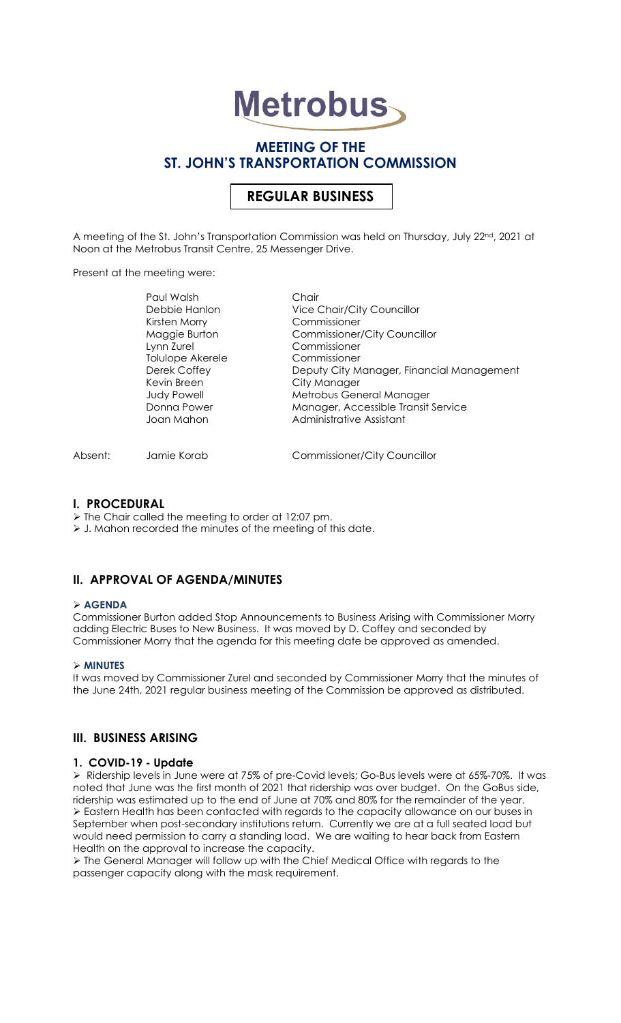# **Metrobus**

# **MEETING OF THE ST. JOHN'S TRANSPORTATION COMMISSION**

# **REGULAR BUSINESS**

A meeting of the St. John's Transportation Commission was held on Thursday, July 22nd, 2021 at Noon at the Metrobus Transit Centre, 25 Messenger Drive.

Present at the meeting were:

| Paul Walsh              | Chair                                     |
|-------------------------|-------------------------------------------|
| Debbie Hanlon           | Vice Chair/City Councillor                |
| Kirsten Morry           | Commissioner                              |
| Maggie Burton           | <b>Commissioner/City Councillor</b>       |
| Lynn Zurel              | Commissioner                              |
| <b>Tolulope Akerele</b> | Commissioner                              |
| Derek Coffey            | Deputy City Manager, Financial Management |
| Kevin Breen             | City Manager                              |
| <b>Judy Powell</b>      | Metrobus General Manager                  |
| Donna Power             | Manager, Accessible Transit Service       |
| Joan Mahon              | Administrative Assistant                  |
|                         |                                           |
|                         |                                           |

Absent: Jamie Korab Commissioner/City Councillor

#### **I. PROCEDURAL**

➢ The Chair called the meeting to order at 12:07 pm.

➢ J. Mahon recorded the minutes of the meeting of this date.

#### **II. APPROVAL OF AGENDA/MINUTES**

#### ➢ **AGENDA**

Commissioner Burton added Stop Announcements to Business Arising with Commissioner Morry adding Electric Buses to New Business. It was moved by D. Coffey and seconded by Commissioner Morry that the agenda for this meeting date be approved as amended.

#### ➢ **MINUTES**

It was moved by Commissioner Zurel and seconded by Commissioner Morry that the minutes of the June 24th, 2021 regular business meeting of the Commission be approved as distributed.

#### **III. BUSINESS ARISING**

#### **1. COVID-19 - Update**

➢ Ridership levels in June were at 75% of pre-Covid levels; Go-Bus levels were at 65%-70%. It was noted that June was the first month of 2021 that ridership was over budget. On the GoBus side, ridership was estimated up to the end of June at 70% and 80% for the remainder of the year. ➢ Eastern Health has been contacted with regards to the capacity allowance on our buses in September when post-secondary institutions return. Currently we are at a full seated load but would need permission to carry a standing load. We are waiting to hear back from Eastern Health on the approval to increase the capacity.

➢ The General Manager will follow up with the Chief Medical Office with regards to the passenger capacity along with the mask requirement.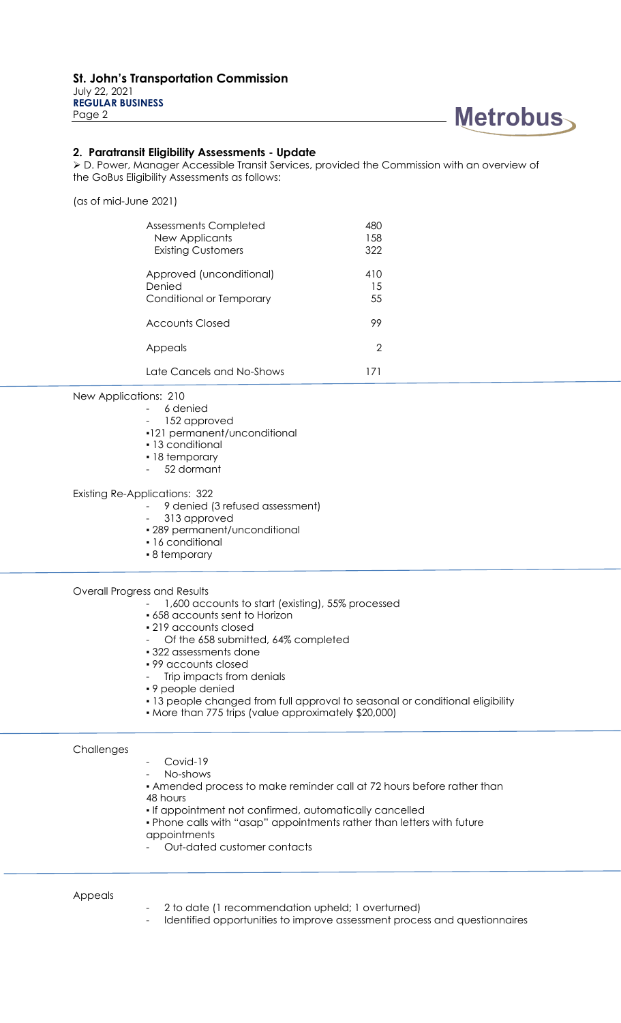

#### **2. Paratransit Eligibility Assessments - Update**

➢ D. Power, Manager Accessible Transit Services, provided the Commission with an overview of the GoBus Eligibility Assessments as follows:

(as of mid-June 2021)

| Assessments Completed<br>New Applicants<br><b>Existing Customers</b> | 480<br>1.58<br>322 |
|----------------------------------------------------------------------|--------------------|
| Approved (unconditional)<br>Denied<br>Conditional or Temporary       | 410<br>15<br>55    |
| Accounts Closed                                                      | 99                 |
| Appeals                                                              | 2                  |
| Late Cancels and No-Shows                                            | 171                |

New Applications: 210

- 6 denied
- 152 approved
- ▪121 permanent/unconditional
- 13 conditional
- 18 temporary
- 52 dormant

Existing Re-Applications: 322

- 9 denied (3 refused assessment)

- 313 approved
- 289 permanent/unconditional
- 16 conditional
- 8 temporary

Overall Progress and Results

- 1,600 accounts to start (existing), 55% processed
- 658 accounts sent to Horizon
- 219 accounts closed
- Of the 658 submitted, 64% completed
- 322 assessments done
- 99 accounts closed
- Trip impacts from denials
- 9 people denied
- 13 people changed from full approval to seasonal or conditional eligibility
- More than 775 trips (value approximately \$20,000)

#### **Challenges**

- Covid-19
- No-shows
- Amended process to make reminder call at 72 hours before rather than 48 hours
	-
- If appointment not confirmed, automatically cancelled
- Phone calls with "asap" appointments rather than letters with future
- appointments
- Out-dated customer contacts

#### Appeals

- 2 to date (1 recommendation upheld; 1 overturned)
- Identified opportunities to improve assessment process and questionnaires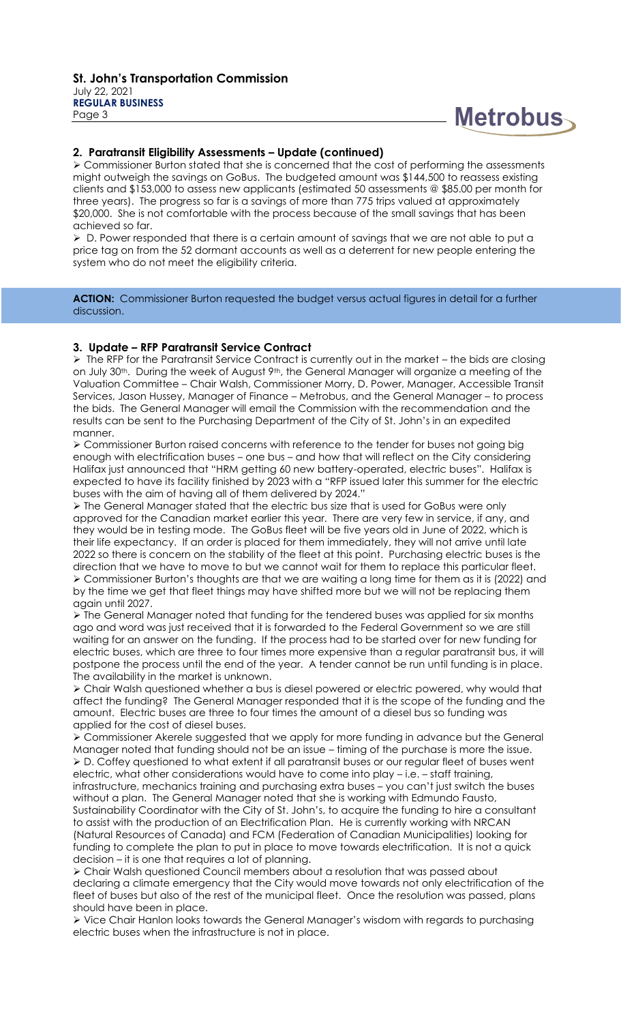# **Metrobus**

#### **2. Paratransit Eligibility Assessments – Update (continued)**

➢ Commissioner Burton stated that she is concerned that the cost of performing the assessments might outweigh the savings on GoBus. The budgeted amount was \$144,500 to reassess existing clients and \$153,000 to assess new applicants (estimated 50 assessments @ \$85.00 per month for three years). The progress so far is a savings of more than 775 trips valued at approximately \$20,000. She is not comfortable with the process because of the small savings that has been achieved so far.

➢ D. Power responded that there is a certain amount of savings that we are not able to put a price tag on from the 52 dormant accounts as well as a deterrent for new people entering the system who do not meet the eligibility criteria.

ACTION: Commissioner Burton requested the budget versus actual figures in detail for a further discussion.

#### **3. Update – RFP Paratransit Service Contract**

➢ The RFP for the Paratransit Service Contract is currently out in the market – the bids are closing on July 30<sup>th</sup>. During the week of August 9<sup>th</sup>, the General Manager will organize a meeting of the Valuation Committee – Chair Walsh, Commissioner Morry, D. Power, Manager, Accessible Transit Services, Jason Hussey, Manager of Finance – Metrobus, and the General Manager – to process the bids. The General Manager will email the Commission with the recommendation and the results can be sent to the Purchasing Department of the City of St. John's in an expedited manner.

➢ Commissioner Burton raised concerns with reference to the tender for buses not going big enough with electrification buses – one bus – and how that will reflect on the City considering Halifax just announced that "HRM getting 60 new battery-operated, electric buses". Halifax is expected to have its facility finished by 2023 with a "RFP issued later this summer for the electric buses with the aim of having all of them delivered by 2024."

➢ The General Manager stated that the electric bus size that is used for GoBus were only approved for the Canadian market earlier this year. There are very few in service, if any, and they would be in testing mode. The GoBus fleet will be five years old in June of 2022, which is their life expectancy. If an order is placed for them immediately, they will not arrive until late 2022 so there is concern on the stability of the fleet at this point. Purchasing electric buses is the direction that we have to move to but we cannot wait for them to replace this particular fleet. ➢ Commissioner Burton's thoughts are that we are waiting a long time for them as it is (2022) and by the time we get that fleet things may have shifted more but we will not be replacing them again until 2027.

➢ The General Manager noted that funding for the tendered buses was applied for six months ago and word was just received that it is forwarded to the Federal Government so we are still waiting for an answer on the funding. If the process had to be started over for new funding for electric buses, which are three to four times more expensive than a regular paratransit bus, it will postpone the process until the end of the year. A tender cannot be run until funding is in place. The availability in the market is unknown.

➢ Chair Walsh questioned whether a bus is diesel powered or electric powered, why would that affect the funding? The General Manager responded that it is the scope of the funding and the amount. Electric buses are three to four times the amount of a diesel bus so funding was applied for the cost of diesel buses.

➢ Commissioner Akerele suggested that we apply for more funding in advance but the General Manager noted that funding should not be an issue – timing of the purchase is more the issue. ➢ D. Coffey questioned to what extent if all paratransit buses or our regular fleet of buses went electric, what other considerations would have to come into play – i.e. – staff training, infrastructure, mechanics training and purchasing extra buses – you can't just switch the buses without a plan. The General Manager noted that she is working with Edmundo Fausto, Sustainability Coordinator with the City of St. John's, to acquire the funding to hire a consultant to assist with the production of an Electrification Plan. He is currently working with NRCAN (Natural Resources of Canada) and FCM (Federation of Canadian Municipalities) looking for funding to complete the plan to put in place to move towards electrification. It is not a quick decision – it is one that requires a lot of planning.

➢ Chair Walsh questioned Council members about a resolution that was passed about declaring a climate emergency that the City would move towards not only electrification of the fleet of buses but also of the rest of the municipal fleet. Once the resolution was passed, plans should have been in place.

➢ Vice Chair Hanlon looks towards the General Manager's wisdom with regards to purchasing electric buses when the infrastructure is not in place.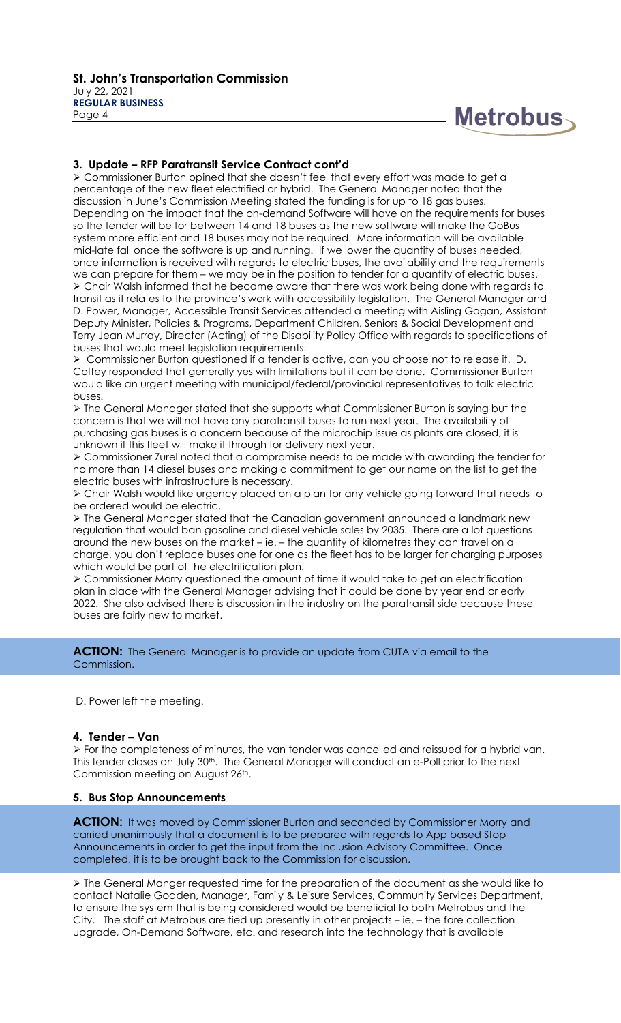

#### **3. Update – RFP Paratransit Service Contract cont'd**

➢ Commissioner Burton opined that she doesn't feel that every effort was made to get a percentage of the new fleet electrified or hybrid. The General Manager noted that the discussion in June's Commission Meeting stated the funding is for up to 18 gas buses. Depending on the impact that the on-demand Software will have on the requirements for buses so the tender will be for between 14 and 18 buses as the new software will make the GoBus system more efficient and 18 buses may not be required. More information will be available mid-late fall once the software is up and running. If we lower the quantity of buses needed, once information is received with regards to electric buses, the availability and the requirements we can prepare for them – we may be in the position to tender for a quantity of electric buses. ➢ Chair Walsh informed that he became aware that there was work being done with regards to transit as it relates to the province's work with accessibility legislation. The General Manager and D. Power, Manager, Accessible Transit Services attended a meeting with Aisling Gogan, Assistant Deputy Minister, Policies & Programs, Department Children, Seniors & Social Development and Terry Jean Murray, Director (Acting) of the Disability Policy Office with regards to specifications of buses that would meet legislation requirements.

➢ Commissioner Burton questioned if a tender is active, can you choose not to release it. D. Coffey responded that generally yes with limitations but it can be done. Commissioner Burton would like an urgent meeting with municipal/federal/provincial representatives to talk electric buses.

➢ The General Manager stated that she supports what Commissioner Burton is saying but the concern is that we will not have any paratransit buses to run next year. The availability of purchasing gas buses is a concern because of the microchip issue as plants are closed, it is unknown if this fleet will make it through for delivery next year.

➢ Commissioner Zurel noted that a compromise needs to be made with awarding the tender for no more than 14 diesel buses and making a commitment to get our name on the list to get the electric buses with infrastructure is necessary.

➢ Chair Walsh would like urgency placed on a plan for any vehicle going forward that needs to be ordered would be electric.

➢ The General Manager stated that the Canadian government announced a landmark new regulation that would ban gasoline and diesel vehicle sales by 2035. There are a lot questions around the new buses on the market – ie. – the quantity of kilometres they can travel on a charge, you don't replace buses one for one as the fleet has to be larger for charging purposes which would be part of the electrification plan.

➢ Commissioner Morry questioned the amount of time it would take to get an electrification plan in place with the General Manager advising that it could be done by year end or early 2022. She also advised there is discussion in the industry on the paratransit side because these buses are fairly new to market.

#### **ACTION:** The General Manager is to provide an update from CUTA via email to the Commission.

D. Power left the meeting.

#### **4. Tender – Van**

➢ For the completeness of minutes, the van tender was cancelled and reissued for a hybrid van. This tender closes on July 30<sup>th</sup>. The General Manager will conduct an e-Poll prior to the next Commission meeting on August 26th.

#### **5. Bus Stop Announcements**

**ACTION:** It was moved by Commissioner Burton and seconded by Commissioner Morry and carried unanimously that a document is to be prepared with regards to App based Stop Announcements in order to get the input from the Inclusion Advisory Committee. Once completed, it is to be brought back to the Commission for discussion.

➢ The General Manger requested time for the preparation of the document as she would like to contact Natalie Godden, Manager, Family & Leisure Services, Community Services Department, to ensure the system that is being considered would be beneficial to both Metrobus and the City. The staff at Metrobus are tied up presently in other projects – ie. – the fare collection upgrade, On-Demand Software, etc. and research into the technology that is available